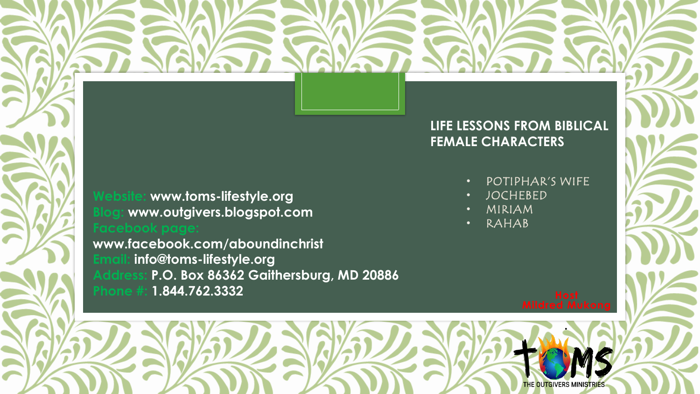### **LIFE LESSONS FROM BIBLICAL FEMALE CHARACTERS**

**Website: www.toms-lifestyle.org Blog: www.outgivers.blogspot.com** 

**www.facebook.com/aboundinchrist Email: info@toms-lifestyle.org Address: P.O. Box 86362 Gaithersburg, MD 20886 Phone #: 1.844.762.3332** 

- POTIPHAR'S WIFE
- JOCHEBED
- MIRIAM
- RAHAB

*.*

THE OUTGIVERS MINISTRIES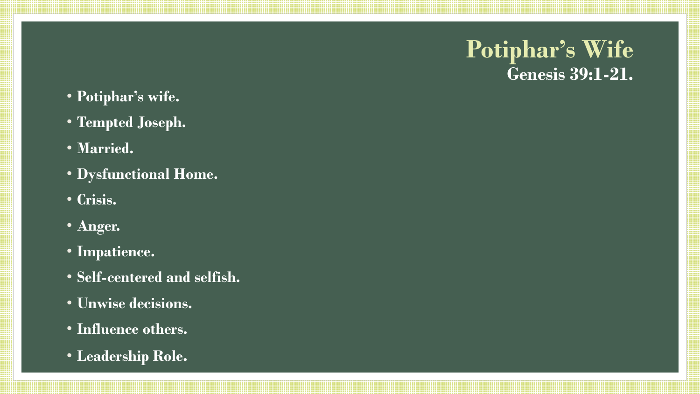### **Potiphar's Wife Genesis 39:1-21.**

- **Potiphar's wife.**
- **Tempted Joseph.**
- **Married.**
- **Dysfunctional Home.**
- **Crisis.**
- **Anger.**
- **Impatience.**
- **Self-centered and selfish.**
- **Unwise decisions.**
- **Influence others.**
- **Leadership Role.**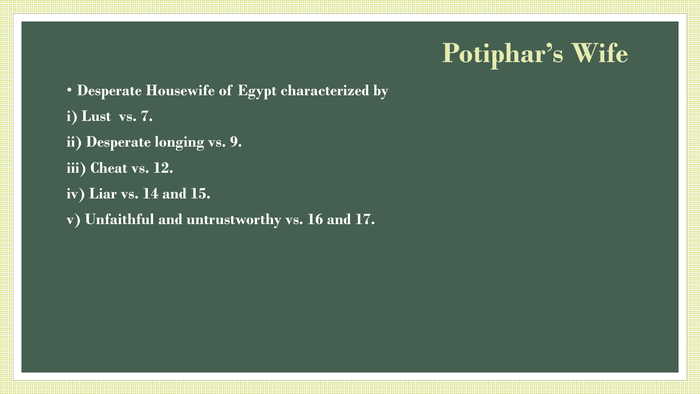# **Potiphar's Wife**

- **Desperate Housewife of Egypt characterized by**
- **i) Lust vs. 7.**
- **ii) Desperate longing vs. 9.**
- **iii) Cheat vs. 12.**
- **iv) Liar vs. 14 and 15.**
- **v) Unfaithful and untrustworthy vs. 16 and 17.**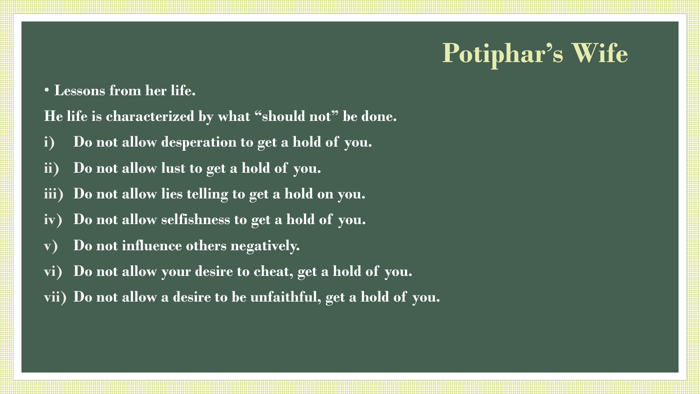# **Potiphar's Wife**

• **Lessons from her life.**

**He life is characterized by what "should not" be done.**

- **i) Do not allow desperation to get a hold of you.**
- **ii) Do not allow lust to get a hold of you.**
- **iii) Do not allow lies telling to get a hold on you.**
- **iv) Do not allow selfishness to get a hold of you.**
- **v) Do not influence others negatively.**
- **vi) Do not allow your desire to cheat, get a hold of you.**
- **vii) Do not allow a desire to be unfaithful, get a hold of you.**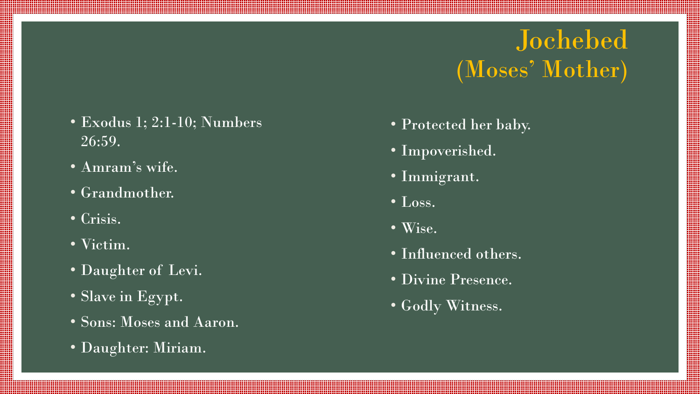## Jochebed (Moses' Mother)

- Exodus 1; 2:1-10; Numbers 26:59.
- Amram's wife.
- Grandmother.
- Crisis.
- Victim.
- Daughter of Levi.
- Slave in Egypt.
- Sons: Moses and Aaron.
- Daughter: Miriam.
- Protected her baby.
- Impoverished.
- Immigrant.
- $\bullet$  Loss.
- Wise.
- Influenced others.
- Divine Presence.
- Godly Witness.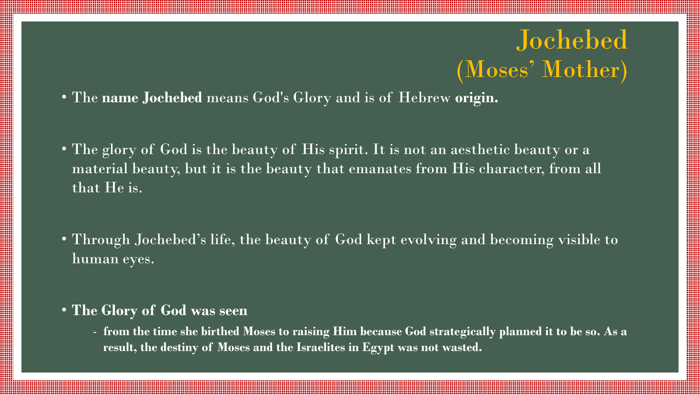### Jochebed (Moses' Mother)

- The **name Jochebed** means God's Glory and is of Hebrew **origin.**
- The glory of God is the beauty of His spirit. It is not an aesthetic beauty or a material beauty, but it is the beauty that emanates from His character, from all that He is.
- Through Jochebed's life, the beauty of God kept evolving and becoming visible to human eyes.
- **The Glory of God was seen** 
	- **from the time she birthed Moses to raising Him because God strategically planned it to be so. As a result, the destiny of Moses and the Israelites in Egypt was not wasted.**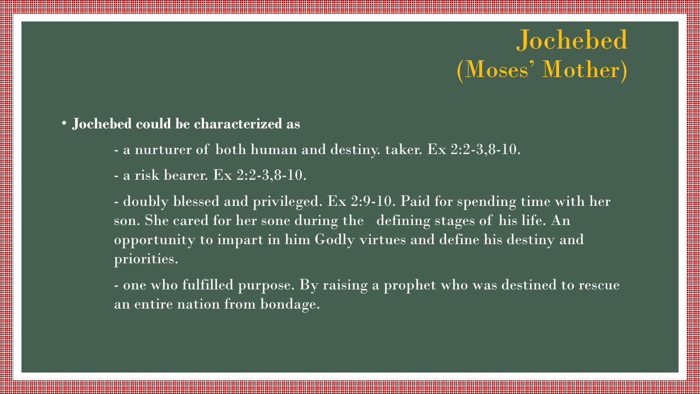### Jochebed (Moses' Mother)

- **Jochebed could be characterized as** 
	- a nurturer of both human and destiny. taker. Ex 2:2-3,8-10.
	- a risk bearer. Ex 2:2-3,8-10.

- doubly blessed and privileged. Ex 2:9-10. Paid for spending time with her son. She cared for her sone during the defining stages of his life. An opportunity to impart in him Godly virtues and define his destiny and priorities.

- one who fulfilled purpose. By raising a prophet who was destined to rescue an entire nation from bondage.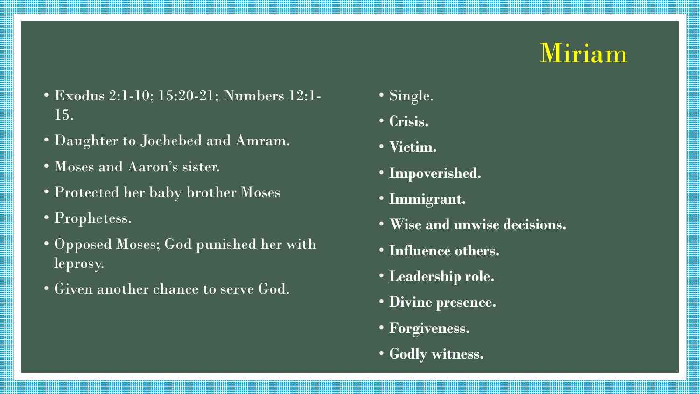## Miriam

- Exodus 2:1-10; 15:20-21; Numbers 12:1- 15.
- Daughter to Jochebed and Amram.
- Moses and Aaron's sister.
- Protected her baby brother Moses
- Prophetess.
- Opposed Moses; God punished her with leprosy.
- Given another chance to serve God.
- Single.
- **Crisis.**
- **Victim.**
- **Impoverished.**
- **Immigrant.**
- **Wise and unwise decisions.**
- **Influence others.**
- **Leadership role.**
- **Divine presence.**
- **Forgiveness.**
- **Godly witness.**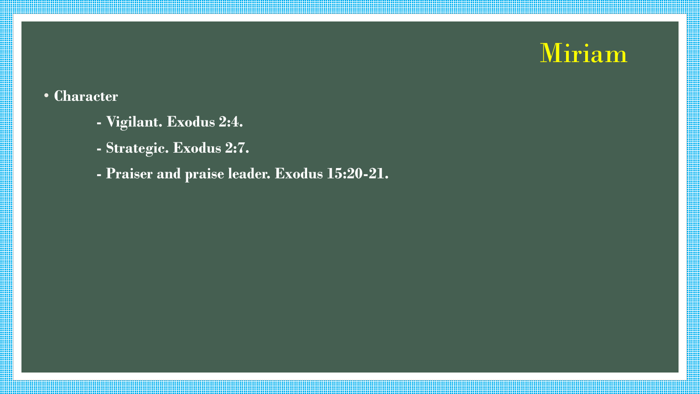## Miriam

### • **Character**

- **- Vigilant. Exodus 2:4.**
- **- Strategic. Exodus 2:7.**
- **- Praiser and praise leader. Exodus 15:20-21.**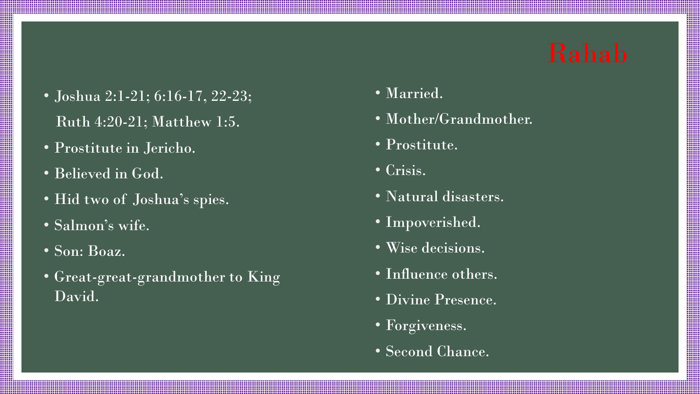- Joshua 2:1-21; 6:16-17, 22-23; Ruth 4:20-21; Matthew 1:5.
- Prostitute in Jericho.
- Believed in God.
- Hid two of Joshua's spies.
- Salmon's wife.
- Son: Boaz.
- Great-great-grandmother to King David.
- Married.
- Mother/Grandmother.
- Prostitute.
- Crisis.
- Natural disasters.
- Impoverished.
- Wise decisions.
- Influence others.
- Divine Presence.
- Forgiveness.
- Second Chance.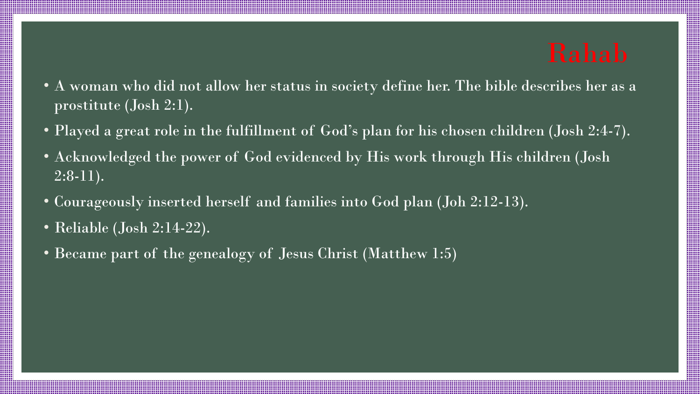- A woman who did not allow her status in society define her. The bible describes her as a prostitute (Josh 2:1).
- Played a great role in the fulfillment of God's plan for his chosen children (Josh 2:4-7).
- Acknowledged the power of God evidenced by His work through His children (Josh  $2:8-11$ ).
- Courageously inserted herself and families into God plan (Joh 2:12-13).
- Reliable (Josh 2:14-22).
- Became part of the genealogy of Jesus Christ (Matthew 1:5)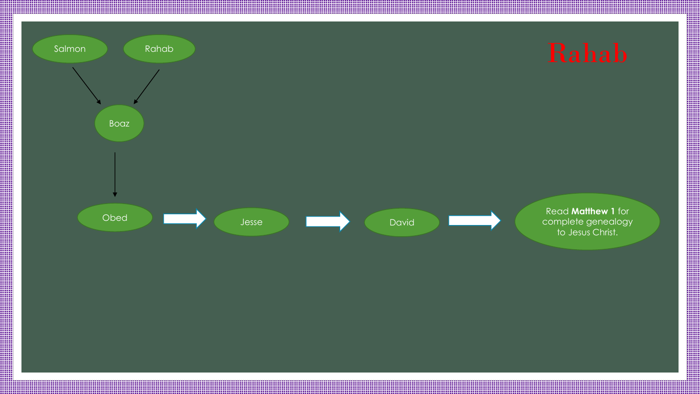